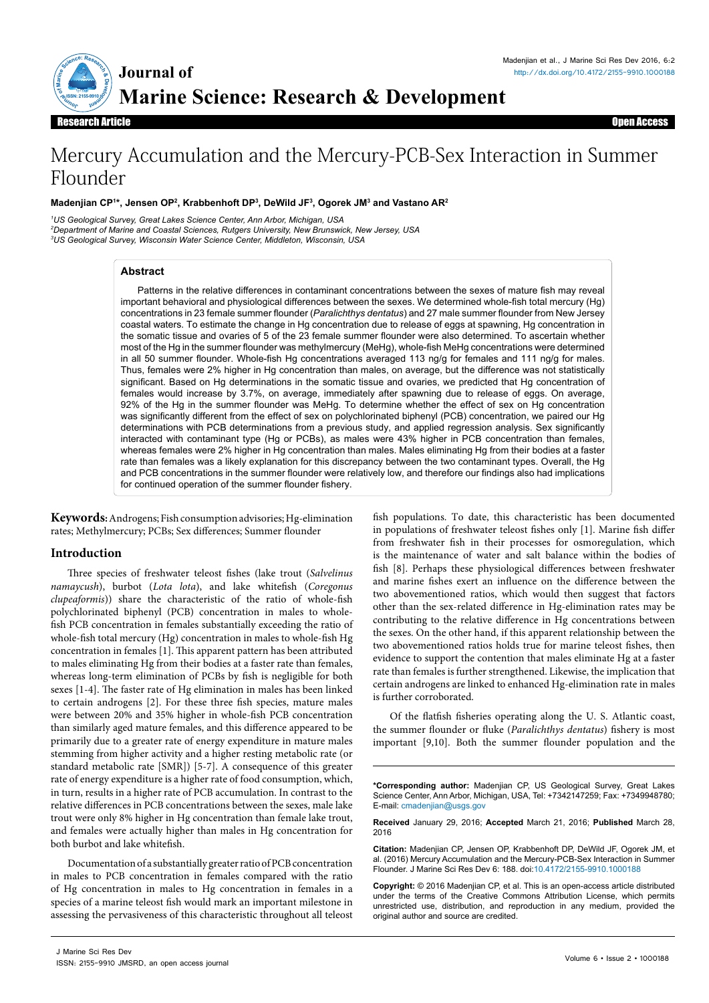

Research Article Open Access **Research Article** 

# Mercury Accumulation and the Mercury-PCB-Sex Interaction in Summer Flounder

## **Madenjian CP1 \*, Jensen OP2 , Krabbenhoft DP3 , DeWild JF3 , Ogorek JM3 and Vastano AR2**

*1 US Geological Survey, Great Lakes Science Center, Ann Arbor, Michigan, USA 2 Department of Marine and Coastal Sciences, Rutgers University, New Brunswick, New Jersey, USA 3 US Geological Survey, Wisconsin Water Science Center, Middleton, Wisconsin, USA*

## **Abstract**

Patterns in the relative differences in contaminant concentrations between the sexes of mature fish may reveal important behavioral and physiological differences between the sexes. We determined whole-fish total mercury (Hg) concentrations in 23 female summer flounder (*Paralichthys dentatus*) and 27 male summer flounder from New Jersey coastal waters. To estimate the change in Hg concentration due to release of eggs at spawning, Hg concentration in the somatic tissue and ovaries of 5 of the 23 female summer flounder were also determined. To ascertain whether most of the Hg in the summer flounder was methylmercury (MeHg), whole-fish MeHg concentrations were determined in all 50 summer flounder. Whole-fish Hg concentrations averaged 113 ng/g for females and 111 ng/g for males. Thus, females were 2% higher in Hg concentration than males, on average, but the difference was not statistically significant. Based on Hg determinations in the somatic tissue and ovaries, we predicted that Hg concentration of females would increase by 3.7%, on average, immediately after spawning due to release of eggs. On average, 92% of the Hg in the summer flounder was MeHg. To determine whether the effect of sex on Hg concentration was significantly different from the effect of sex on polychlorinated biphenyl (PCB) concentration, we paired our Hg determinations with PCB determinations from a previous study, and applied regression analysis. Sex significantly interacted with contaminant type (Hg or PCBs), as males were 43% higher in PCB concentration than females, whereas females were 2% higher in Hg concentration than males. Males eliminating Hg from their bodies at a faster rate than females was a likely explanation for this discrepancy between the two contaminant types. Overall, the Hg and PCB concentrations in the summer flounder were relatively low, and therefore our findings also had implications for continued operation of the summer flounder fishery.

**Keywords:** Androgens; Fish consumption advisories; Hg-elimination rates; Methylmercury; PCBs; Sex differences; Summer flounder

# **Introduction**

Three species of freshwater teleost fishes (lake trout (*Salvelinus namaycush*), burbot (*Lota lota*), and lake whitefish (*Coregonus clupeaformis*)) share the characteristic of the ratio of whole-fish polychlorinated biphenyl (PCB) concentration in males to wholefish PCB concentration in females substantially exceeding the ratio of whole-fish total mercury (Hg) concentration in males to whole-fish Hg concentration in females [1]. This apparent pattern has been attributed to males eliminating Hg from their bodies at a faster rate than females, whereas long-term elimination of PCBs by fish is negligible for both sexes [1-4]. The faster rate of Hg elimination in males has been linked to certain androgens [2]. For these three fish species, mature males were between 20% and 35% higher in whole-fish PCB concentration than similarly aged mature females, and this difference appeared to be primarily due to a greater rate of energy expenditure in mature males stemming from higher activity and a higher resting metabolic rate (or standard metabolic rate [SMR]) [5-7]. A consequence of this greater rate of energy expenditure is a higher rate of food consumption, which, in turn, results in a higher rate of PCB accumulation. In contrast to the relative differences in PCB concentrations between the sexes, male lake trout were only 8% higher in Hg concentration than female lake trout, and females were actually higher than males in Hg concentration for both burbot and lake whitefish.

Documentation of a substantially greater ratio of PCB concentration in males to PCB concentration in females compared with the ratio of Hg concentration in males to Hg concentration in females in a species of a marine teleost fish would mark an important milestone in assessing the pervasiveness of this characteristic throughout all teleost

fish populations. To date, this characteristic has been documented in populations of freshwater teleost fishes only [1]. Marine fish differ from freshwater fish in their processes for osmoregulation, which is the maintenance of water and salt balance within the bodies of fish [8]. Perhaps these physiological differences between freshwater and marine fishes exert an influence on the difference between the two abovementioned ratios, which would then suggest that factors other than the sex-related difference in Hg-elimination rates may be contributing to the relative difference in Hg concentrations between the sexes. On the other hand, if this apparent relationship between the two abovementioned ratios holds true for marine teleost fishes, then evidence to support the contention that males eliminate Hg at a faster rate than females is further strengthened. Likewise, the implication that certain androgens are linked to enhanced Hg-elimination rate in males is further corroborated.

Of the flatfish fisheries operating along the U. S. Atlantic coast, the summer flounder or fluke (*Paralichthys dentatus*) fishery is most important [9,10]. Both the summer flounder population and the

**\*Corresponding author:** Madenjian CP, US Geological Survey, Great Lakes Science Center, Ann Arbor, Michigan, USA, Tel: +7342147259; Fax: +7349948780; E-mail: cmadeniian@usgs.gov

**Received** January 29, 2016; **Accepted** March 21, 2016; **Published** March 28, 2016

**Citation:** Madenjian CP, Jensen OP, Krabbenhoft DP, DeWild JF, Ogorek JM, et al. (2016) Mercury Accumulation and the Mercury-PCB-Sex Interaction in Summer Flounder. J Marine Sci Res Dev 6: 188. doi[:10.4172/2155-9910.10001](http://dx.doi.org/10.4172/2155-9910.1000188)88

**Copyright:** © 2016 Madenjian CP, et al. This is an open-access article distributed under the terms of the Creative Commons Attribution License, which permits unrestricted use, distribution, and reproduction in any medium, provided the original author and source are credited.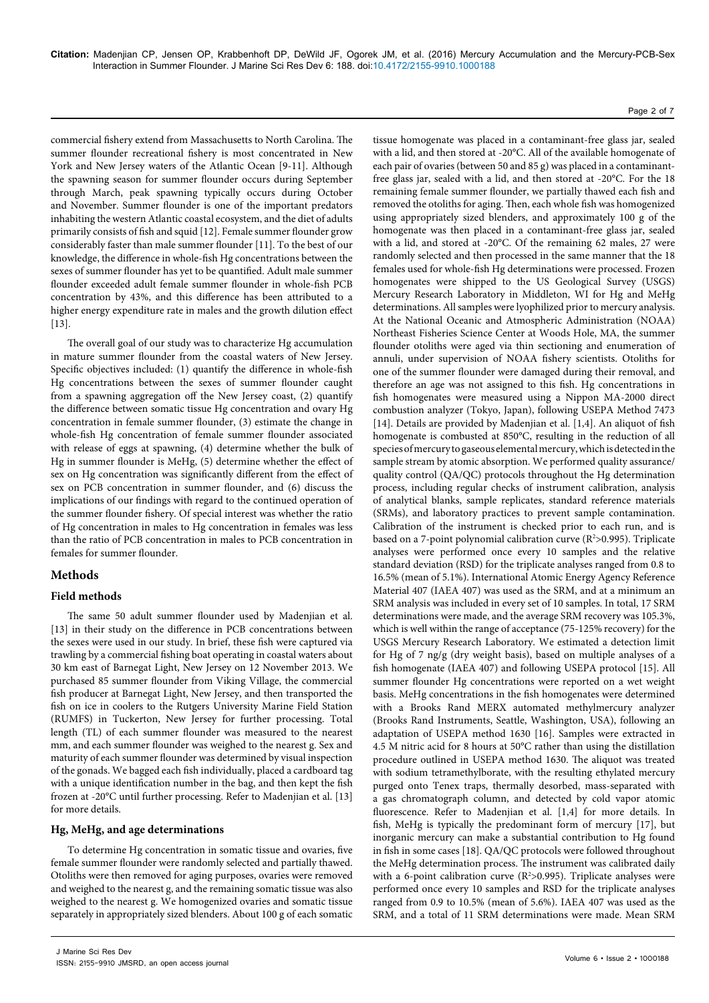commercial fishery extend from Massachusetts to North Carolina. The summer flounder recreational fishery is most concentrated in New York and New Jersey waters of the Atlantic Ocean [9-11]. Although the spawning season for summer flounder occurs during September through March, peak spawning typically occurs during October and November. Summer flounder is one of the important predators inhabiting the western Atlantic coastal ecosystem, and the diet of adults primarily consists of fish and squid [12]. Female summer flounder grow considerably faster than male summer flounder [11]. To the best of our knowledge, the difference in whole-fish Hg concentrations between the sexes of summer flounder has yet to be quantified. Adult male summer flounder exceeded adult female summer flounder in whole-fish PCB concentration by 43%, and this difference has been attributed to a higher energy expenditure rate in males and the growth dilution effect [13].

The overall goal of our study was to characterize Hg accumulation in mature summer flounder from the coastal waters of New Jersey. Specific objectives included: (1) quantify the difference in whole-fish Hg concentrations between the sexes of summer flounder caught from a spawning aggregation off the New Jersey coast, (2) quantify the difference between somatic tissue Hg concentration and ovary Hg concentration in female summer flounder, (3) estimate the change in whole-fish Hg concentration of female summer flounder associated with release of eggs at spawning, (4) determine whether the bulk of Hg in summer flounder is MeHg, (5) determine whether the effect of sex on Hg concentration was significantly different from the effect of sex on PCB concentration in summer flounder, and (6) discuss the implications of our findings with regard to the continued operation of the summer flounder fishery. Of special interest was whether the ratio of Hg concentration in males to Hg concentration in females was less than the ratio of PCB concentration in males to PCB concentration in females for summer flounder.

# **Methods**

# **Field methods**

The same 50 adult summer flounder used by Madenjian et al. [13] in their study on the difference in PCB concentrations between the sexes were used in our study. In brief, these fish were captured via trawling by a commercial fishing boat operating in coastal waters about 30 km east of Barnegat Light, New Jersey on 12 November 2013. We purchased 85 summer flounder from Viking Village, the commercial fish producer at Barnegat Light, New Jersey, and then transported the fish on ice in coolers to the Rutgers University Marine Field Station (RUMFS) in Tuckerton, New Jersey for further processing. Total length (TL) of each summer flounder was measured to the nearest mm, and each summer flounder was weighed to the nearest g. Sex and maturity of each summer flounder was determined by visual inspection of the gonads. We bagged each fish individually, placed a cardboard tag with a unique identification number in the bag, and then kept the fish frozen at -20°C until further processing. Refer to Madenjian et al. [13] for more details.

# **Hg, MeHg, and age determinations**

To determine Hg concentration in somatic tissue and ovaries, five female summer flounder were randomly selected and partially thawed. Otoliths were then removed for aging purposes, ovaries were removed and weighed to the nearest g, and the remaining somatic tissue was also weighed to the nearest g. We homogenized ovaries and somatic tissue separately in appropriately sized blenders. About 100 g of each somatic

tissue homogenate was placed in a contaminant-free glass jar, sealed with a lid, and then stored at -20°C. All of the available homogenate of each pair of ovaries (between 50 and 85 g) was placed in a contaminantfree glass jar, sealed with a lid, and then stored at -20°C. For the 18 remaining female summer flounder, we partially thawed each fish and removed the otoliths for aging. Then, each whole fish was homogenized using appropriately sized blenders, and approximately 100 g of the homogenate was then placed in a contaminant-free glass jar, sealed with a lid, and stored at -20°C. Of the remaining 62 males, 27 were randomly selected and then processed in the same manner that the 18 females used for whole-fish Hg determinations were processed. Frozen homogenates were shipped to the US Geological Survey (USGS) Mercury Research Laboratory in Middleton, WI for Hg and MeHg determinations. All samples were lyophilized prior to mercury analysis. At the National Oceanic and Atmospheric Administration (NOAA) Northeast Fisheries Science Center at Woods Hole, MA, the summer flounder otoliths were aged via thin sectioning and enumeration of annuli, under supervision of NOAA fishery scientists. Otoliths for one of the summer flounder were damaged during their removal, and therefore an age was not assigned to this fish. Hg concentrations in fish homogenates were measured using a Nippon MA-2000 direct combustion analyzer (Tokyo, Japan), following USEPA Method 7473 [14]. Details are provided by Madenjian et al. [1,4]. An aliquot of fish homogenate is combusted at 850°C, resulting in the reduction of all species of mercury to gaseous elemental mercury, which is detected in the sample stream by atomic absorption. We performed quality assurance/ quality control (QA/QC) protocols throughout the Hg determination process, including regular checks of instrument calibration, analysis of analytical blanks, sample replicates, standard reference materials (SRMs), and laboratory practices to prevent sample contamination. Calibration of the instrument is checked prior to each run, and is based on a 7-point polynomial calibration curve  $(R^2>0.995)$ . Triplicate analyses were performed once every 10 samples and the relative standard deviation (RSD) for the triplicate analyses ranged from 0.8 to 16.5% (mean of 5.1%). International Atomic Energy Agency Reference Material 407 (IAEA 407) was used as the SRM, and at a minimum an SRM analysis was included in every set of 10 samples. In total, 17 SRM determinations were made, and the average SRM recovery was 105.3%, which is well within the range of acceptance (75-125% recovery) for the USGS Mercury Research Laboratory. We estimated a detection limit for Hg of 7 ng/g (dry weight basis), based on multiple analyses of a fish homogenate (IAEA 407) and following USEPA protocol [15]. All summer flounder Hg concentrations were reported on a wet weight basis. MeHg concentrations in the fish homogenates were determined with a Brooks Rand MERX automated methylmercury analyzer (Brooks Rand Instruments, Seattle, Washington, USA), following an adaptation of USEPA method 1630 [16]. Samples were extracted in 4.5 M nitric acid for 8 hours at 50°C rather than using the distillation procedure outlined in USEPA method 1630. The aliquot was treated with sodium tetramethylborate, with the resulting ethylated mercury purged onto Tenex traps, thermally desorbed, mass-separated with a gas chromatograph column, and detected by cold vapor atomic fluorescence. Refer to Madenjian et al. [1,4] for more details. In fish, MeHg is typically the predominant form of mercury [17], but inorganic mercury can make a substantial contribution to Hg found in fish in some cases [18]. QA/QC protocols were followed throughout the MeHg determination process. The instrument was calibrated daily with a 6-point calibration curve  $(R^2>0.995)$ . Triplicate analyses were performed once every 10 samples and RSD for the triplicate analyses ranged from 0.9 to 10.5% (mean of 5.6%). IAEA 407 was used as the SRM, and a total of 11 SRM determinations were made. Mean SRM

#### Page 2 of 7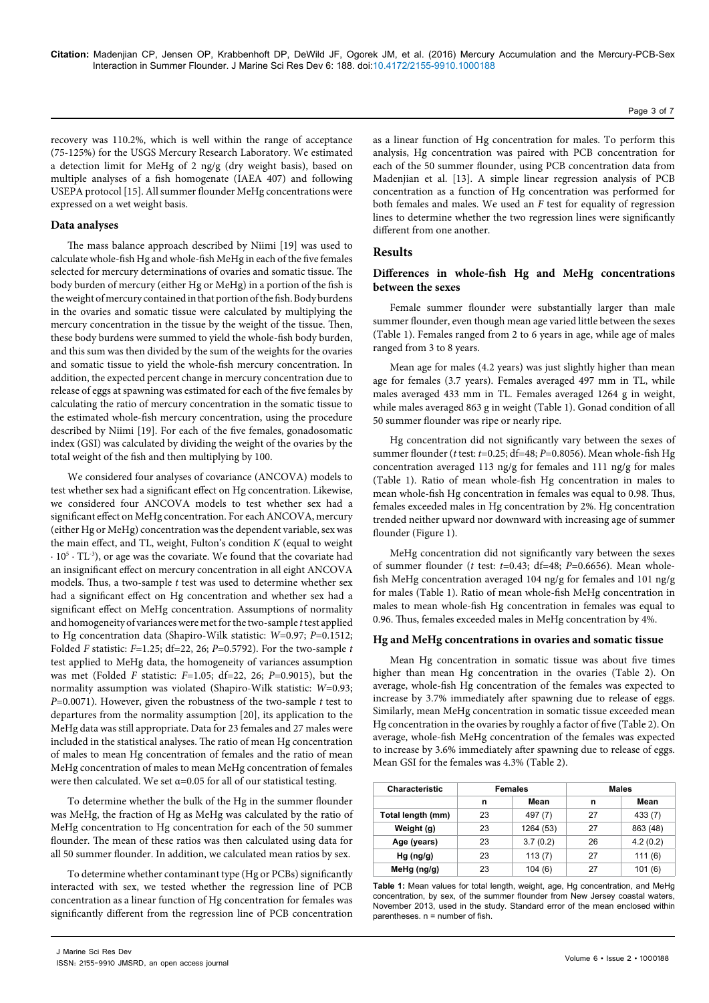recovery was 110.2%, which is well within the range of acceptance (75-125%) for the USGS Mercury Research Laboratory. We estimated a detection limit for MeHg of 2 ng/g (dry weight basis), based on multiple analyses of a fish homogenate (IAEA 407) and following USEPA protocol [15]. All summer flounder MeHg concentrations were expressed on a wet weight basis.

#### **Data analyses**

The mass balance approach described by Niimi [19] was used to calculate whole-fish Hg and whole-fish MeHg in each of the five females selected for mercury determinations of ovaries and somatic tissue. The body burden of mercury (either Hg or MeHg) in a portion of the fish is the weight of mercury contained in that portion of the fish. Body burdens in the ovaries and somatic tissue were calculated by multiplying the mercury concentration in the tissue by the weight of the tissue. Then, these body burdens were summed to yield the whole-fish body burden, and this sum was then divided by the sum of the weights for the ovaries and somatic tissue to yield the whole-fish mercury concentration. In addition, the expected percent change in mercury concentration due to release of eggs at spawning was estimated for each of the five females by calculating the ratio of mercury concentration in the somatic tissue to the estimated whole-fish mercury concentration, using the procedure described by Niimi [19]. For each of the five females, gonadosomatic index (GSI) was calculated by dividing the weight of the ovaries by the total weight of the fish and then multiplying by 100.

We considered four analyses of covariance (ANCOVA) models to test whether sex had a significant effect on Hg concentration. Likewise, we considered four ANCOVA models to test whether sex had a significant effect on MeHg concentration. For each ANCOVA, mercury (either Hg or MeHg) concentration was the dependent variable, sex was the main effect, and TL, weight, Fulton's condition *K* (equal to weight ∙ 105 ∙ TL-3), or age was the covariate. We found that the covariate had an insignificant effect on mercury concentration in all eight ANCOVA models. Thus, a two-sample *t* test was used to determine whether sex had a significant effect on Hg concentration and whether sex had a significant effect on MeHg concentration. Assumptions of normality and homogeneity of variances were met for the two-sample *t* test applied to Hg concentration data (Shapiro-Wilk statistic: *W*=0.97; *P*=0.1512; Folded *F* statistic: *F*=1.25; df=22, 26; *P*=0.5792). For the two-sample *t* test applied to MeHg data, the homogeneity of variances assumption was met (Folded *F* statistic: *F*=1.05; df=22, 26; *P*=0.9015), but the normality assumption was violated (Shapiro-Wilk statistic: *W*=0.93; *P*=0.0071). However, given the robustness of the two-sample *t* test to departures from the normality assumption [20], its application to the MeHg data was still appropriate. Data for 23 females and 27 males were included in the statistical analyses. The ratio of mean Hg concentration of males to mean Hg concentration of females and the ratio of mean MeHg concentration of males to mean MeHg concentration of females were then calculated. We set  $\alpha$ =0.05 for all of our statistical testing.

To determine whether the bulk of the Hg in the summer flounder was MeHg, the fraction of Hg as MeHg was calculated by the ratio of MeHg concentration to Hg concentration for each of the 50 summer flounder. The mean of these ratios was then calculated using data for all 50 summer flounder. In addition, we calculated mean ratios by sex.

To determine whether contaminant type (Hg or PCBs) significantly interacted with sex, we tested whether the regression line of PCB concentration as a linear function of Hg concentration for females was significantly different from the regression line of PCB concentration

as a linear function of Hg concentration for males. To perform this analysis, Hg concentration was paired with PCB concentration for each of the 50 summer flounder, using PCB concentration data from Madenjian et al. [13]. A simple linear regression analysis of PCB concentration as a function of Hg concentration was performed for both females and males. We used an *F* test for equality of regression lines to determine whether the two regression lines were significantly different from one another.

#### **Results**

## **Differences in whole-fish Hg and MeHg concentrations between the sexes**

Female summer flounder were substantially larger than male summer flounder, even though mean age varied little between the sexes (Table 1). Females ranged from 2 to 6 years in age, while age of males ranged from 3 to 8 years.

Mean age for males (4.2 years) was just slightly higher than mean age for females (3.7 years). Females averaged 497 mm in TL, while males averaged 433 mm in TL. Females averaged 1264 g in weight, while males averaged 863 g in weight (Table 1). Gonad condition of all 50 summer flounder was ripe or nearly ripe.

Hg concentration did not significantly vary between the sexes of summer flounder (*t* test: *t*=0.25; df=48; *P*=0.8056). Mean whole-fish Hg concentration averaged 113 ng/g for females and 111 ng/g for males (Table 1). Ratio of mean whole-fish Hg concentration in males to mean whole-fish Hg concentration in females was equal to 0.98. Thus, females exceeded males in Hg concentration by 2%. Hg concentration trended neither upward nor downward with increasing age of summer flounder (Figure 1).

MeHg concentration did not significantly vary between the sexes of summer flounder (*t* test: *t*=0.43; df=48; *P*=0.6656). Mean wholefish MeHg concentration averaged 104 ng/g for females and 101 ng/g for males (Table 1). Ratio of mean whole-fish MeHg concentration in males to mean whole-fish Hg concentration in females was equal to 0.96. Thus, females exceeded males in MeHg concentration by 4%.

#### **Hg and MeHg concentrations in ovaries and somatic tissue**

Mean Hg concentration in somatic tissue was about five times higher than mean Hg concentration in the ovaries (Table 2). On average, whole-fish Hg concentration of the females was expected to increase by 3.7% immediately after spawning due to release of eggs. Similarly, mean MeHg concentration in somatic tissue exceeded mean Hg concentration in the ovaries by roughly a factor of five (Table 2). On average, whole-fish MeHg concentration of the females was expected to increase by 3.6% immediately after spawning due to release of eggs. Mean GSI for the females was 4.3% (Table 2).

| Characteristic    | <b>Females</b> |           | <b>Males</b> |          |
|-------------------|----------------|-----------|--------------|----------|
|                   | n              | Mean      | n            | Mean     |
| Total length (mm) | 23             | 497 (7)   | 27           | 433 (7)  |
| Weight (g)        | 23             | 1264 (53) | 27           | 863 (48) |
| Age (years)       | 23             | 3.7(0.2)  | 26           | 4.2(0.2) |
| $Hg$ (ng/g)       | 23             | 113(7)    | 27           | 111(6)   |
| MeHg (ng/g)       | 23             | 104(6)    | 27           | 101(6)   |

**Table 1:** Mean values for total length, weight, age, Hg concentration, and MeHg concentration, by sex, of the summer flounder from New Jersey coastal waters, November 2013, used in the study. Standard error of the mean enclosed within parentheses. n = number of fish.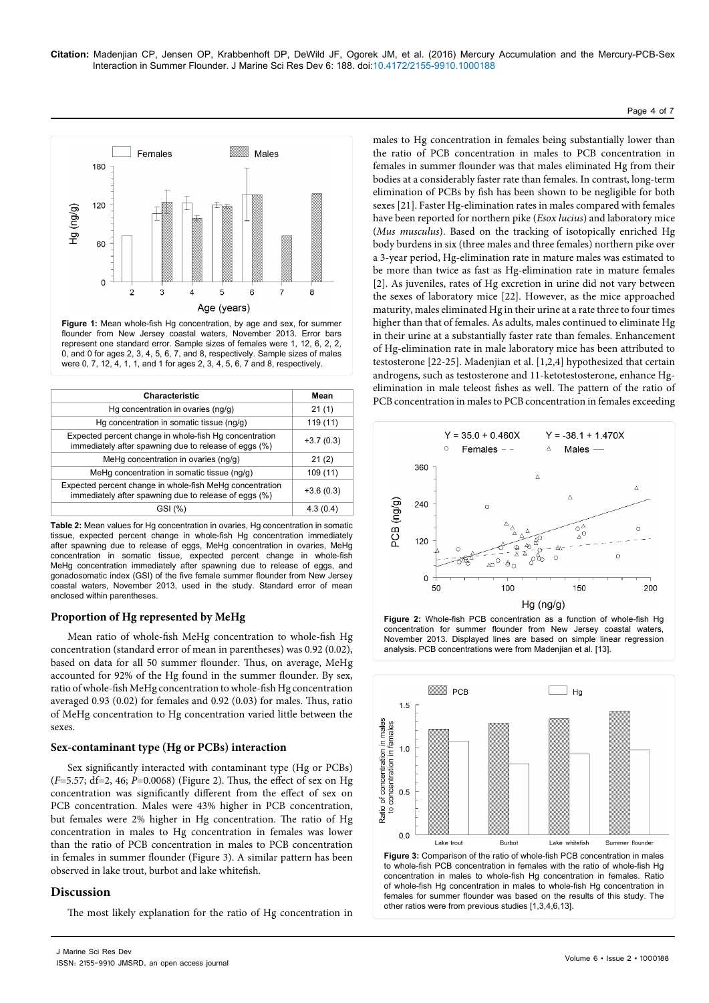## Page 4 of 7



**Figure 1:** Mean whole-fish Hg concentration, by age and sex, for summer flounder from New Jersey coastal waters, November 2013. Error bars represent one standard error. Sample sizes of females were 1, 12, 6, 2, 2, 0, and 0 for ages 2, 3, 4, 5, 6, 7, and 8, respectively. Sample sizes of males were 0, 7, 12, 4, 1, 1, and 1 for ages 2, 3, 4, 5, 6, 7 and 8, respectively.

| Characteristic                                                                                                    | Mean        |
|-------------------------------------------------------------------------------------------------------------------|-------------|
| Hg concentration in ovaries (ng/g)                                                                                | 21(1)       |
| Hg concentration in somatic tissue (ng/g)                                                                         | 119 (11)    |
| Expected percent change in whole-fish Hg concentration<br>immediately after spawning due to release of eggs (%)   | $+3.7(0.3)$ |
| MeHg concentration in ovaries (ng/g)                                                                              | 21(2)       |
| MeHq concentration in somatic tissue (nq/q)                                                                       | 109 (11)    |
| Expected percent change in whole-fish MeHg concentration<br>immediately after spawning due to release of eggs (%) | $+3.6(0.3)$ |
| GSI (%)                                                                                                           | 4.3(0.4)    |
|                                                                                                                   |             |

**Table 2:** Mean values for Hg concentration in ovaries, Hg concentration in somatic tissue, expected percent change in whole-fish Hg concentration immediately after spawning due to release of eggs, MeHg concentration in ovaries, MeHg concentration in somatic tissue, expected percent change in whole-fish MeHg concentration immediately after spawning due to release of eggs, and gonadosomatic index (GSI) of the five female summer flounder from New Jersey coastal waters, November 2013, used in the study. Standard error of mean enclosed within parentheses.

## **Proportion of Hg represented by MeHg**

Mean ratio of whole-fish MeHg concentration to whole-fish Hg concentration (standard error of mean in parentheses) was 0.92 (0.02), based on data for all 50 summer flounder. Thus, on average, MeHg accounted for 92% of the Hg found in the summer flounder. By sex, ratio of whole-fish MeHg concentration to whole-fish Hg concentration averaged 0.93 (0.02) for females and 0.92 (0.03) for males. Thus, ratio of MeHg concentration to Hg concentration varied little between the sexes.

## **Sex-contaminant type (Hg or PCBs) interaction**

Sex significantly interacted with contaminant type (Hg or PCBs) (*F*=5.57; df=2, 46; *P*=0.0068) (Figure 2). Thus, the effect of sex on Hg concentration was significantly different from the effect of sex on PCB concentration. Males were 43% higher in PCB concentration, but females were 2% higher in Hg concentration. The ratio of Hg concentration in males to Hg concentration in females was lower than the ratio of PCB concentration in males to PCB concentration in females in summer flounder (Figure 3). A similar pattern has been observed in lake trout, burbot and lake whitefish.

# **Discussion**

The most likely explanation for the ratio of Hg concentration in

males to Hg concentration in females being substantially lower than the ratio of PCB concentration in males to PCB concentration in females in summer flounder was that males eliminated Hg from their bodies at a considerably faster rate than females. In contrast, long-term elimination of PCBs by fish has been shown to be negligible for both sexes [21]. Faster Hg-elimination rates in males compared with females have been reported for northern pike (*Esox lucius*) and laboratory mice (*Mus musculus*). Based on the tracking of isotopically enriched Hg body burdens in six (three males and three females) northern pike over a 3-year period, Hg-elimination rate in mature males was estimated to be more than twice as fast as Hg-elimination rate in mature females [2]. As juveniles, rates of Hg excretion in urine did not vary between the sexes of laboratory mice [22]. However, as the mice approached maturity, males eliminated Hg in their urine at a rate three to four times higher than that of females. As adults, males continued to eliminate Hg in their urine at a substantially faster rate than females. Enhancement of Hg-elimination rate in male laboratory mice has been attributed to testosterone [22-25]. Madenjian et al. [1,2,4] hypothesized that certain androgens, such as testosterone and 11-ketotestosterone, enhance Hgelimination in male teleost fishes as well. The pattern of the ratio of PCB concentration in males to PCB concentration in females exceeding



**Figure 2:** Whole-fish PCB concentration as a function of whole-fish Hg concentration for summer flounder from New Jersey coastal waters, November 2013. Displayed lines are based on simple linear regression analysis. PCB concentrations were from Madenjian et al. [13].

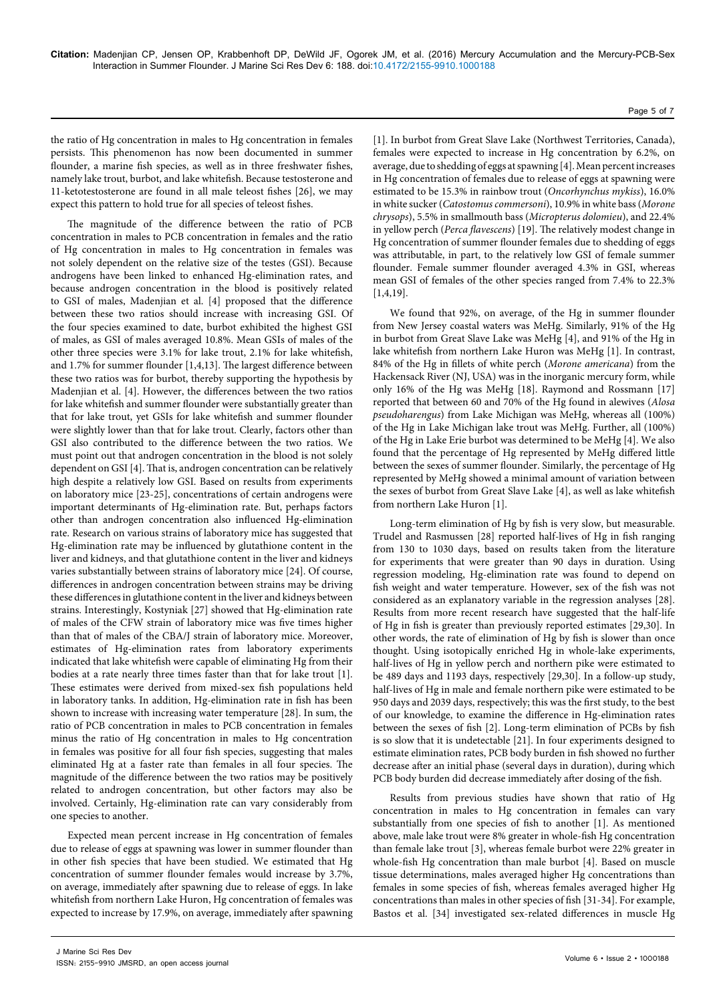## Page 5 of 7

the ratio of Hg concentration in males to Hg concentration in females persists. This phenomenon has now been documented in summer flounder, a marine fish species, as well as in three freshwater fishes, namely lake trout, burbot, and lake whitefish. Because testosterone and 11-ketotestosterone are found in all male teleost fishes [26], we may expect this pattern to hold true for all species of teleost fishes.

The magnitude of the difference between the ratio of PCB concentration in males to PCB concentration in females and the ratio of Hg concentration in males to Hg concentration in females was not solely dependent on the relative size of the testes (GSI). Because androgens have been linked to enhanced Hg-elimination rates, and because androgen concentration in the blood is positively related to GSI of males, Madenjian et al. [4] proposed that the difference between these two ratios should increase with increasing GSI. Of the four species examined to date, burbot exhibited the highest GSI of males, as GSI of males averaged 10.8%. Mean GSIs of males of the other three species were 3.1% for lake trout, 2.1% for lake whitefish, and 1.7% for summer flounder [1,4,13]. The largest difference between these two ratios was for burbot, thereby supporting the hypothesis by Madenjian et al. [4]. However, the differences between the two ratios for lake whitefish and summer flounder were substantially greater than that for lake trout, yet GSIs for lake whitefish and summer flounder were slightly lower than that for lake trout. Clearly, factors other than GSI also contributed to the difference between the two ratios. We must point out that androgen concentration in the blood is not solely dependent on GSI [4]. That is, androgen concentration can be relatively high despite a relatively low GSI. Based on results from experiments on laboratory mice [23-25], concentrations of certain androgens were important determinants of Hg-elimination rate. But, perhaps factors other than androgen concentration also influenced Hg-elimination rate. Research on various strains of laboratory mice has suggested that Hg-elimination rate may be influenced by glutathione content in the liver and kidneys, and that glutathione content in the liver and kidneys varies substantially between strains of laboratory mice [24]. Of course, differences in androgen concentration between strains may be driving these differences in glutathione content in the liver and kidneys between strains. Interestingly, Kostyniak [27] showed that Hg-elimination rate of males of the CFW strain of laboratory mice was five times higher than that of males of the CBA/J strain of laboratory mice. Moreover, estimates of Hg-elimination rates from laboratory experiments indicated that lake whitefish were capable of eliminating Hg from their bodies at a rate nearly three times faster than that for lake trout [1]. These estimates were derived from mixed-sex fish populations held in laboratory tanks. In addition, Hg-elimination rate in fish has been shown to increase with increasing water temperature [28]. In sum, the ratio of PCB concentration in males to PCB concentration in females minus the ratio of Hg concentration in males to Hg concentration in females was positive for all four fish species, suggesting that males eliminated Hg at a faster rate than females in all four species. The magnitude of the difference between the two ratios may be positively related to androgen concentration, but other factors may also be involved. Certainly, Hg-elimination rate can vary considerably from one species to another.

Expected mean percent increase in Hg concentration of females due to release of eggs at spawning was lower in summer flounder than in other fish species that have been studied. We estimated that Hg concentration of summer flounder females would increase by 3.7%, on average, immediately after spawning due to release of eggs. In lake whitefish from northern Lake Huron, Hg concentration of females was expected to increase by 17.9%, on average, immediately after spawning

[1]. In burbot from Great Slave Lake (Northwest Territories, Canada), females were expected to increase in Hg concentration by 6.2%, on average, due to shedding of eggs at spawning [4]. Mean percent increases in Hg concentration of females due to release of eggs at spawning were estimated to be 15.3% in rainbow trout (*Oncorhynchus mykiss*), 16.0% in white sucker (*Catostomus commersoni*), 10.9% in white bass (*Morone chrysops*), 5.5% in smallmouth bass (*Micropterus dolomieu*), and 22.4% in yellow perch (*Perca flavescens*) [19]. The relatively modest change in Hg concentration of summer flounder females due to shedding of eggs was attributable, in part, to the relatively low GSI of female summer flounder. Female summer flounder averaged 4.3% in GSI, whereas mean GSI of females of the other species ranged from 7.4% to 22.3% [1,4,19].

We found that 92%, on average, of the Hg in summer flounder from New Jersey coastal waters was MeHg. Similarly, 91% of the Hg in burbot from Great Slave Lake was MeHg [4], and 91% of the Hg in lake whitefish from northern Lake Huron was MeHg [1]. In contrast, 84% of the Hg in fillets of white perch (*Morone americana*) from the Hackensack River (NJ, USA) was in the inorganic mercury form, while only 16% of the Hg was MeHg [18]. Raymond and Rossmann [17] reported that between 60 and 70% of the Hg found in alewives (*Alosa pseudoharengus*) from Lake Michigan was MeHg, whereas all (100%) of the Hg in Lake Michigan lake trout was MeHg. Further, all (100%) of the Hg in Lake Erie burbot was determined to be MeHg [4]. We also found that the percentage of Hg represented by MeHg differed little between the sexes of summer flounder. Similarly, the percentage of Hg represented by MeHg showed a minimal amount of variation between the sexes of burbot from Great Slave Lake [4], as well as lake whitefish from northern Lake Huron [1].

Long-term elimination of Hg by fish is very slow, but measurable. Trudel and Rasmussen [28] reported half-lives of Hg in fish ranging from 130 to 1030 days, based on results taken from the literature for experiments that were greater than 90 days in duration. Using regression modeling, Hg-elimination rate was found to depend on fish weight and water temperature. However, sex of the fish was not considered as an explanatory variable in the regression analyses [28]. Results from more recent research have suggested that the half-life of Hg in fish is greater than previously reported estimates [29,30]. In other words, the rate of elimination of Hg by fish is slower than once thought. Using isotopically enriched Hg in whole-lake experiments, half-lives of Hg in yellow perch and northern pike were estimated to be 489 days and 1193 days, respectively [29,30]. In a follow-up study, half-lives of Hg in male and female northern pike were estimated to be 950 days and 2039 days, respectively; this was the first study, to the best of our knowledge, to examine the difference in Hg-elimination rates between the sexes of fish [2]. Long-term elimination of PCBs by fish is so slow that it is undetectable [21]. In four experiments designed to estimate elimination rates, PCB body burden in fish showed no further decrease after an initial phase (several days in duration), during which PCB body burden did decrease immediately after dosing of the fish.

Results from previous studies have shown that ratio of Hg concentration in males to Hg concentration in females can vary substantially from one species of fish to another [1]. As mentioned above, male lake trout were 8% greater in whole-fish Hg concentration than female lake trout [3], whereas female burbot were 22% greater in whole-fish Hg concentration than male burbot [4]. Based on muscle tissue determinations, males averaged higher Hg concentrations than females in some species of fish, whereas females averaged higher Hg concentrations than males in other species of fish [31-34]. For example, Bastos et al. [34] investigated sex-related differences in muscle Hg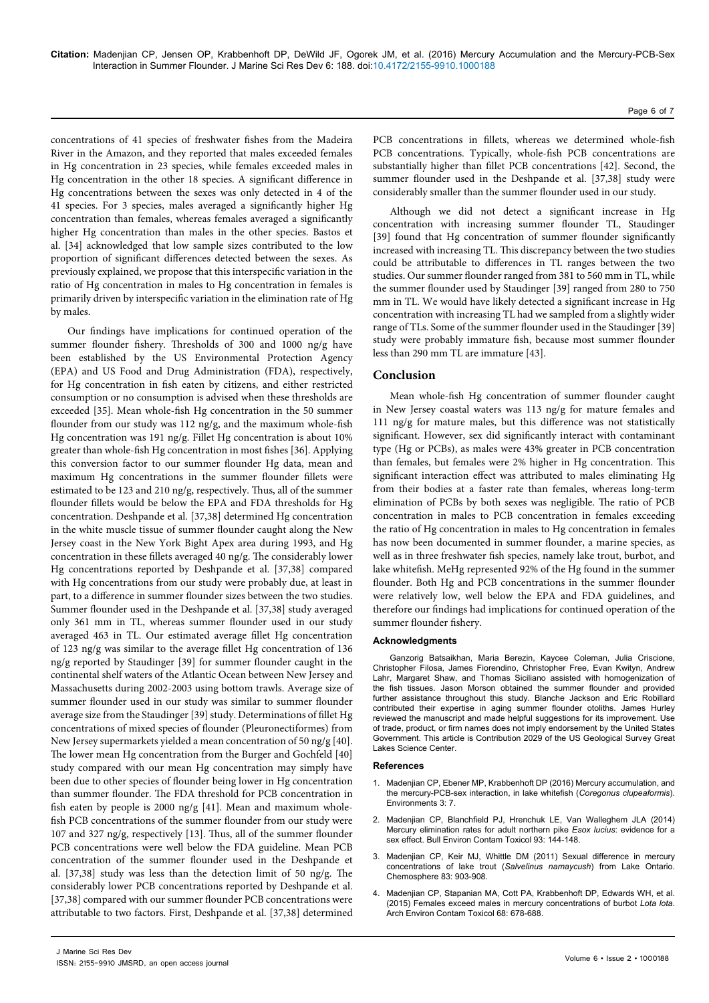**Citation:** Madenjian CP, Jensen OP, Krabbenhoft DP, DeWild JF, Ogorek JM, et al. (2016) Mercury Accumulation and the Mercury-PCB-Sex Interaction in Summer Flounder. J Marine Sci Res Dev 6: 188. doi[:10.4172/2155-9910.10001](http://dx.doi.org/10.4172/2155-9910.1000188)88

concentrations of 41 species of freshwater fishes from the Madeira River in the Amazon, and they reported that males exceeded females in Hg concentration in 23 species, while females exceeded males in Hg concentration in the other 18 species. A significant difference in Hg concentrations between the sexes was only detected in 4 of the 41 species. For 3 species, males averaged a significantly higher Hg concentration than females, whereas females averaged a significantly higher Hg concentration than males in the other species. Bastos et al. [34] acknowledged that low sample sizes contributed to the low proportion of significant differences detected between the sexes. As previously explained, we propose that this interspecific variation in the ratio of Hg concentration in males to Hg concentration in females is primarily driven by interspecific variation in the elimination rate of Hg by males.

Our findings have implications for continued operation of the summer flounder fishery. Thresholds of 300 and 1000 ng/g have been established by the US Environmental Protection Agency (EPA) and US Food and Drug Administration (FDA), respectively, for Hg concentration in fish eaten by citizens, and either restricted consumption or no consumption is advised when these thresholds are exceeded [35]. Mean whole-fish Hg concentration in the 50 summer flounder from our study was 112 ng/g, and the maximum whole-fish Hg concentration was 191 ng/g. Fillet Hg concentration is about 10% greater than whole-fish Hg concentration in most fishes [36]. Applying this conversion factor to our summer flounder Hg data, mean and maximum Hg concentrations in the summer flounder fillets were estimated to be 123 and 210 ng/g, respectively. Thus, all of the summer flounder fillets would be below the EPA and FDA thresholds for Hg concentration. Deshpande et al. [37,38] determined Hg concentration in the white muscle tissue of summer flounder caught along the New Jersey coast in the New York Bight Apex area during 1993, and Hg concentration in these fillets averaged 40 ng/g. The considerably lower Hg concentrations reported by Deshpande et al. [37,38] compared with Hg concentrations from our study were probably due, at least in part, to a difference in summer flounder sizes between the two studies. Summer flounder used in the Deshpande et al. [37,38] study averaged only 361 mm in TL, whereas summer flounder used in our study averaged 463 in TL. Our estimated average fillet Hg concentration of 123 ng/g was similar to the average fillet Hg concentration of 136 ng/g reported by Staudinger [39] for summer flounder caught in the continental shelf waters of the Atlantic Ocean between New Jersey and Massachusetts during 2002-2003 using bottom trawls. Average size of summer flounder used in our study was similar to summer flounder average size from the Staudinger [39] study. Determinations of fillet Hg concentrations of mixed species of flounder (Pleuronectiformes) from New Jersey supermarkets yielded a mean concentration of 50 ng/g [40]. The lower mean Hg concentration from the Burger and Gochfeld [40] study compared with our mean Hg concentration may simply have been due to other species of flounder being lower in Hg concentration than summer flounder. The FDA threshold for PCB concentration in fish eaten by people is 2000 ng/g [41]. Mean and maximum wholefish PCB concentrations of the summer flounder from our study were 107 and 327 ng/g, respectively [13]. Thus, all of the summer flounder PCB concentrations were well below the FDA guideline. Mean PCB concentration of the summer flounder used in the Deshpande et al. [37,38] study was less than the detection limit of 50 ng/g. The considerably lower PCB concentrations reported by Deshpande et al. [37,38] compared with our summer flounder PCB concentrations were attributable to two factors. First, Deshpande et al. [37,38] determined

Page 6 of 7

PCB concentrations in fillets, whereas we determined whole-fish PCB concentrations. Typically, whole-fish PCB concentrations are substantially higher than fillet PCB concentrations [42]. Second, the summer flounder used in the Deshpande et al. [37,38] study were considerably smaller than the summer flounder used in our study.

Although we did not detect a significant increase in Hg concentration with increasing summer flounder TL, Staudinger [39] found that Hg concentration of summer flounder significantly increased with increasing TL. This discrepancy between the two studies could be attributable to differences in TL ranges between the two studies. Our summer flounder ranged from 381 to 560 mm in TL, while the summer flounder used by Staudinger [39] ranged from 280 to 750 mm in TL. We would have likely detected a significant increase in Hg concentration with increasing TL had we sampled from a slightly wider range of TLs. Some of the summer flounder used in the Staudinger [39] study were probably immature fish, because most summer flounder less than 290 mm TL are immature [43].

## **Conclusion**

Mean whole-fish Hg concentration of summer flounder caught in New Jersey coastal waters was 113 ng/g for mature females and 111 ng/g for mature males, but this difference was not statistically significant. However, sex did significantly interact with contaminant type (Hg or PCBs), as males were 43% greater in PCB concentration than females, but females were 2% higher in Hg concentration. This significant interaction effect was attributed to males eliminating Hg from their bodies at a faster rate than females, whereas long-term elimination of PCBs by both sexes was negligible. The ratio of PCB concentration in males to PCB concentration in females exceeding the ratio of Hg concentration in males to Hg concentration in females has now been documented in summer flounder, a marine species, as well as in three freshwater fish species, namely lake trout, burbot, and lake whitefish. MeHg represented 92% of the Hg found in the summer flounder. Both Hg and PCB concentrations in the summer flounder were relatively low, well below the EPA and FDA guidelines, and therefore our findings had implications for continued operation of the summer flounder fishery.

#### **Acknowledgments**

Ganzorig Batsaikhan, Maria Berezin, Kaycee Coleman, Julia Criscione, Christopher Filosa, James Fiorendino, Christopher Free, Evan Kwityn, Andrew Lahr, Margaret Shaw, and Thomas Siciliano assisted with homogenization of the fish tissues. Jason Morson obtained the summer flounder and provided further assistance throughout this study. Blanche Jackson and Eric Robillard contributed their expertise in aging summer flounder otoliths. James Hurley reviewed the manuscript and made helpful suggestions for its improvement. Use of trade, product, or firm names does not imply endorsement by the United States Government. This article is Contribution 2029 of the US Geological Survey Great Lakes Science Center.

#### **References**

- 1. Madenjian CP, Ebener MP, Krabbenhoft [DP \(2016\) Mercury](http://www.mdpi.com/2076-3298/3/1/7) accumulation, and the [mercury-PCB-](http://www.mdpi.com/2076-3298/3/1/7)sex interaction, in lake whitefish (*Coregonus clupeaformis*). [Environments](http://www.mdpi.com/2076-3298/3/1/7) 3: 7.
- 2. Madenjian [CP, Blanchfield](http://www.ncbi.nlm.nih.gov/pubmed/24667854) PJ, Hrenchuk LE, Van Walleghem JLA (2014) Mercury [elimination](http://www.ncbi.nlm.nih.gov/pubmed/24667854) rates for adult northern pike *Esox lucius*: evidence for a sex effect. Bull Environ Contam Toxicol 93[: 144-148.](http://www.ncbi.nlm.nih.gov/pubmed/24667854)
- 3. Madenjian CP, Keir MJ, Whittle [DM \(2011\) Sexual](http://www.ncbi.nlm.nih.gov/pubmed/21429556) difference in mercury [concentrations](http://www.ncbi.nlm.nih.gov/pubmed/21429556) of lake trout (*Salvelinus namaycush*) from Lake Ontario. [Chemosphere](http://www.ncbi.nlm.nih.gov/pubmed/21429556) 83: 903-908.
- 4. Madenjian CP, Stapanian MA, Cott [PA, Krabbenhoft](http://www.ncbi.nlm.nih.gov/pubmed/25628029) DP, Edwards WH, et al. [\(2015\) Females](http://www.ncbi.nlm.nih.gov/pubmed/25628029) exceed males in mercury concentrations of burbot *Lota lota*. Arch Environ Contam Toxicol [68: 678-688.](http://www.ncbi.nlm.nih.gov/pubmed/25628029)